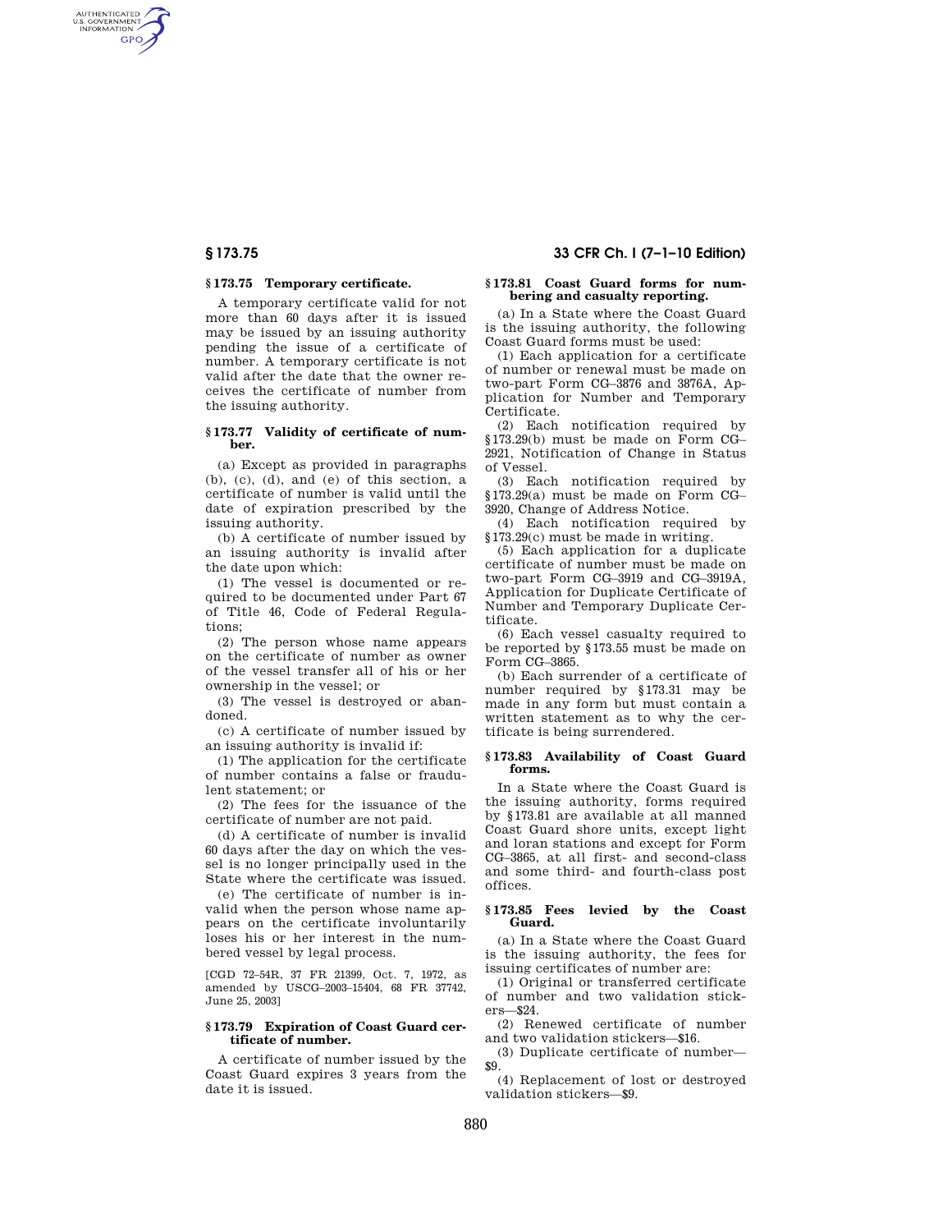AUTHENTICATED<br>U.S. GOVERNMENT<br>INFORMATION GPO

# **§ 173.75 Temporary certificate.**

A temporary certificate valid for not more than 60 days after it is issued may be issued by an issuing authority pending the issue of a certificate of number. A temporary certificate is not valid after the date that the owner receives the certificate of number from the issuing authority.

## **§ 173.77 Validity of certificate of number.**

(a) Except as provided in paragraphs (b), (c), (d), and (e) of this section, a certificate of number is valid until the date of expiration prescribed by the issuing authority.

(b) A certificate of number issued by an issuing authority is invalid after the date upon which:

(1) The vessel is documented or required to be documented under Part 67 of Title 46, Code of Federal Regulations;

(2) The person whose name appears on the certificate of number as owner of the vessel transfer all of his or her ownership in the vessel; or

(3) The vessel is destroyed or abandoned.

(c) A certificate of number issued by an issuing authority is invalid if:

(1) The application for the certificate of number contains a false or fraudulent statement; or

(2) The fees for the issuance of the certificate of number are not paid.

(d) A certificate of number is invalid 60 days after the day on which the vessel is no longer principally used in the State where the certificate was issued.

(e) The certificate of number is invalid when the person whose name appears on the certificate involuntarily loses his or her interest in the numbered vessel by legal process.

[CGD 72–54R, 37 FR 21399, Oct. 7, 1972, as amended by USCG–2003–15404, 68 FR 37742, June 25, 2003]

# **§ 173.79 Expiration of Coast Guard certificate of number.**

A certificate of number issued by the Coast Guard expires 3 years from the date it is issued.

# **§ 173.75 33 CFR Ch. I (7–1–10 Edition)**

# **§ 173.81 Coast Guard forms for numbering and casualty reporting.**

(a) In a State where the Coast Guard is the issuing authority, the following Coast Guard forms must be used:

(1) Each application for a certificate of number or renewal must be made on two-part Form CG–3876 and 3876A, Application for Number and Temporary Certificate.

(2) Each notification required by §173.29(b) must be made on Form CG– 2921, Notification of Change in Status of Vessel.

(3) Each notification required by §173.29(a) must be made on Form CG– 3920, Change of Address Notice.

(4) Each notification required by §173.29(c) must be made in writing.

(5) Each application for a duplicate certificate of number must be made on two-part Form CG–3919 and CG–3919A, Application for Duplicate Certificate of Number and Temporary Duplicate Certificate.

(6) Each vessel casualty required to be reported by §173.55 must be made on Form CG–3865.

(b) Each surrender of a certificate of number required by §173.31 may be made in any form but must contain a written statement as to why the certificate is being surrendered.

# **§ 173.83 Availability of Coast Guard forms.**

In a State where the Coast Guard is the issuing authority, forms required by §173.81 are available at all manned Coast Guard shore units, except light and loran stations and except for Form CG–3865, at all first- and second-class and some third- and fourth-class post offices.

# **§ 173.85 Fees levied by the Coast Guard.**

(a) In a State where the Coast Guard is the issuing authority, the fees for issuing certificates of number are:

(1) Original or transferred certificate of number and two validation stickers—\$24.

(2) Renewed certificate of number and two validation stickers—\$16.

(3) Duplicate certificate of number— \$9.

(4) Replacement of lost or destroyed validation stickers—\$9.